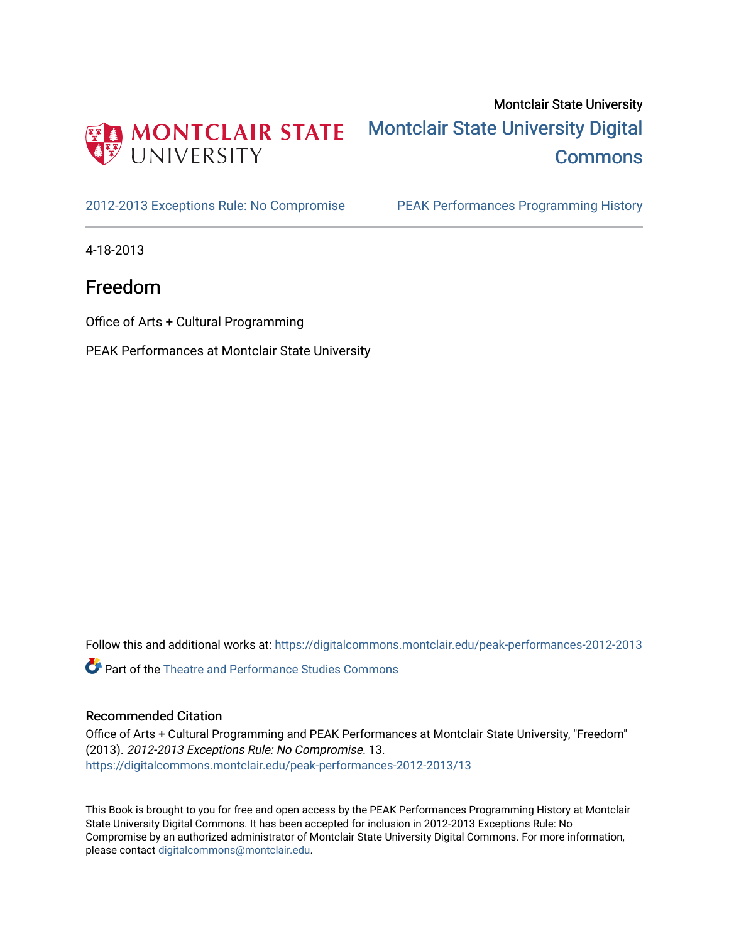

## Montclair State University [Montclair State University Digital](https://digitalcommons.montclair.edu/)  **Commons**

[2012-2013 Exceptions Rule: No Compromise](https://digitalcommons.montclair.edu/peak-performances-2012-2013) PEAK Performances Programming History

4-18-2013

## Freedom

Office of Arts + Cultural Programming

PEAK Performances at Montclair State University

Follow this and additional works at: [https://digitalcommons.montclair.edu/peak-performances-2012-2013](https://digitalcommons.montclair.edu/peak-performances-2012-2013?utm_source=digitalcommons.montclair.edu%2Fpeak-performances-2012-2013%2F13&utm_medium=PDF&utm_campaign=PDFCoverPages) 

Part of the [Theatre and Performance Studies Commons](http://network.bepress.com/hgg/discipline/552?utm_source=digitalcommons.montclair.edu%2Fpeak-performances-2012-2013%2F13&utm_medium=PDF&utm_campaign=PDFCoverPages) 

### Recommended Citation

Office of Arts + Cultural Programming and PEAK Performances at Montclair State University, "Freedom" (2013). 2012-2013 Exceptions Rule: No Compromise. 13. [https://digitalcommons.montclair.edu/peak-performances-2012-2013/13](https://digitalcommons.montclair.edu/peak-performances-2012-2013/13?utm_source=digitalcommons.montclair.edu%2Fpeak-performances-2012-2013%2F13&utm_medium=PDF&utm_campaign=PDFCoverPages)

This Book is brought to you for free and open access by the PEAK Performances Programming History at Montclair State University Digital Commons. It has been accepted for inclusion in 2012-2013 Exceptions Rule: No Compromise by an authorized administrator of Montclair State University Digital Commons. For more information, please contact [digitalcommons@montclair.edu.](mailto:digitalcommons@montclair.edu)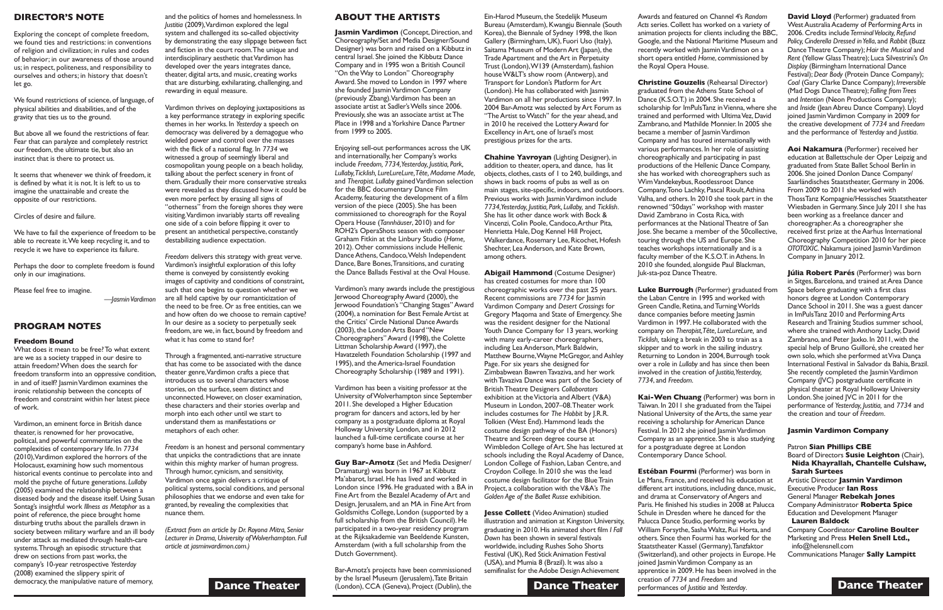### **ABOUT THE ARTISTS**

**Jasmin Vardimon** (Concept, Direction, and Choreography/Set and Media Designer/Sound Designer) was born and raised on a Kibbutz in central Israel. She joined the Kibbutz Dance Company and in 1995 won a British Council "On theWay to London" Choreography Award. She moved to London in 1997 where she founded Jasmin Vardimon Company (previously Zbang).Vardimon has been an associate artist at Sadler's Wells since 2006. Previously, she was an associate artist at The Place in 1998 and a Yorkshire Dance Partner from 1999 to 2005.

Vardimon has been a visiting professor at the University ofWolverhampton since September 2011. She developed a Higher Education program for dancers and actors, led by her company as a postgraduate diploma at Royal Holloway University London, and in 2012 launched a full-time certificate course at her company's home base in Ashford.

Enjoying sell-out performances across the UK and internationally, her Company's works include *Freedom, 7734,Yesterday, Justitia, Park, Lullaby,Ticklish, LureLureLure,Tête, Madame Made,* and *Therapist. Lullaby* gainedVardimon selection for the BBC documentary Dance Film Academy, featuring the development of a film version of the piece (2005). She has been commissioned to choreograph for the Royal Opera House (*Tannhäuser*, 2010) and for ROH2's OperaShots season with composer Graham Fitkin at the Linbury Studio (*Home,* 2012). Other commissions include Hellenic DanceAthens, Candoco,Welsh Independent Dance, Bare Bones,Transitions, and curating the Dance Ballads Festival at the Oval House.

**Dance Theater** (London), CCA (Geneva), Project (Dublin), the **Dance Theater** Bar-Amotz's projects have been commissioned by the Israel Museum (Jerusalem),Tate Britain

Vardimon's many awards include the prestigious Jerwood Choreography Award (2000), the Jerwood Foundation's "Changing Stages"Award (2004), a nomination for Best FemaleArtist at the Critics' Circle National DanceAwards (2003), the London Arts Board "New Choreographers" Award (1998), the Colette Littman Scholarship Award (1997), the Havatzeleth Foundation Scholarship (1997 and 1995), and theAmerica-Israel Foundation Choreography Scholarship (1989 and 1991).

Ein-Harod Museum, the Stedelijk Museum Bureau (Amsterdam),Kwangju Biennale (South Korea), the Biennale of Sydney 1998, the Ikon Gallery (Birmingham, UK), Fuori Uso (Italy), Saitama Museum of Modern Art (Japan), the Trade Apartment and the Art in Perpetuity Trust (London),W139 (Amsterdam), fashion house W&LT's show room (Antwerp), and Transport for London's Platform forArt (London). He has collaborated with Jasmin Vardimon on all her productions since 1997. In 2004 Bar-Amotz was selected byArt Forum as "TheArtist toWatch'' for the year ahead, and in 2010 he received the LotteryAward for Excellency inArt, one of Israel's most prestigious prizes for the arts.

**Guy Bar-Amotz** (Set and Media Designer/ Dramaturg) was born in 1967 at Kibbutz Ma'abarot, Israel. He has lived and worked in London since 1996. He graduated with a BA in Fine Art from the Bezalel Academy of Art and Design, Jerusalem, and an MA in FineArt from Goldsmiths College, London (supported by a full scholarship from the British Council). He participated in a two-year residency program at the Rijksakademie van Beeldende Kunsten, Amsterdam (with a full scholarship from the Dutch Government).

**Christine Gouzelis** (Rehearsal Director) graduated from theAthens State School of Dance (K.S.O.T.) in 2004. She received a scholarship for ImPulsTanz inVienna, where she trained and performed with Ultima Vez, David Zambrano, and Mathilde Monnier. In 2005 she became a member of Jasmin Vardimon Company and has toured internationally with various performances. In her role of assisting choreographically and participating in past productions of the Hellenic Dance Company, she has worked with choreographers such as Wim Vandekeybus, Rootlessroot Dance Company,Tono Lachky, Pascal Rioult,Athina Valha, and others. In 2010 she took part in the renowned "50days" workshop with master David Zambrano in Costa Rica, with performances at the NationalTheatre of San Jose. She became a member of the 50collective, touring through the US and Europe. She teaches workshops internationally and is a faculty member of the K.S.O.T. in Athens. In 2010 she founded, alongside Paul Blackman, Juk-sta-poz Dance Theatre.

**Chahine Yavroyan** (Lighting Designer), in addition to theater, opera, and dance, has lit objects, clothes, casts of 1 to 240, buildings, and shows in back rooms of pubs as well as on main stages, site-specific, indoors, and outdoors. Previous works with Jasmin Vardimon include *7734,Yesterday, Justitia, Park, Lullaby,* and *Ticklish*. She has lit other dance work with Bock & Vincenzi, Colin Poole, Candoco,Arthur Pita, Henrietta Hale, Dog Kennel Hill Project, Walkerdance, Rosemary Lee, Ricochet, Hofesh Shechter, Lea Anderson, and Kate Brown, among others.

**Abigail Hammond** (Costume Designer) has created costumes for more than 100 choreographic works over the past 25 years. Recent commissions are *7734* for Jasmin Vardimon Company and *Desert Crossings* for Gregory Maqoma and State of Emergency. She was the resident designer for the National Youth Dance Company for 13 years, working with many early-career choreographers, including Lea Anderson, Mark Baldwin, Matthew Bourne, Wayne McGregor, and Ashley Page. For six years she designed for Zimbabwean BawrenTavaziva, and her work with Tavaziva Dance was part of the Society of BritishTheatre Designers *Collaborators* exhibition at the Victoria and Albert (V&A) Museum in London, 2007–08.Theater work includes costumes for *The Hobbit* by J.R.R. Tolkien (West End). Hammond leads the costume design pathway of the BA (Honors) Theatre and Screen degree course at Wimbledon College ofArt. She has lectured at schools including the Royal Academy of Dance, London College of Fashion, Laban Centre, and Croydon College. In 2010 she was the lead costume design facilitator for the BlueTrain Project, a collaboration with theV&A's *The*

**Jesse Collett** (Video Animation) studied illustration and animation at Kingston University, graduating in 2010.His animated short film *I Fall Down* has been shown in several festivals worldwide, including Rushes Soho Shorts Festival (UK), Red Stick Animation Festival (USA), and Mumia 8 (Brazil). It was also a semifinalist for the Adobe Design Achievement

*Golden Age of the Ballet Russe* exhibition.

Awards and featured on Channel 4's *Random Acts* series.Collett has worked on a variety of animation projects for clients including the BBC, Google, and the National Maritime Museum and recently worked with Jasmin Vardimon on a short opera entitled *Home*, commissioned by

the Royal Opera House.

What does it mean to be free? To what extent are we as a society trapped in our desire to attain freedom?When does the search for freedom transform into an oppressive condition, in and of itself? Jasmin Vardimon examines the ironic relationship between the concepts of freedom and constraint within her latest piece of work.

Vardimon, an eminent force in British dance theater, is renowned for her provocative, political, and powerful commentaries on the complexities of contemporary life. In *7734* (2010),Vardimon explored the horrors of the Holocaust, examining how such momentous historical events continue to percolate into and mold the psyche of future generations. *Lullaby* (2005) examined the relationship between a diseased body and the disease itself. Using Susan Sontag's insightful work *Illness as Metaphor* as a point of reference, the piece brought home disturbing truths about the parallels drawn in society between military warfare and an ill body under attack as mediated through health-care systems.Through an episodic structure that drew on sections from past works, the company's 10-year retrospective *Yesterday* (2008) examined the slippery spirit of democracy, the manipulative nature of memory,

**Luke Burrough** (Performer) graduated from the Laban Centre in 1995 and worked with Green Candle, Retina, and Turning Worlds dance companies before meeting Jasmin Vardimon in 1997. He collaborated with the company on *Therapist,Tête, LureLureLure,* and *Ticklish,* taking a break in 2003 to train as a skipper and to work in the sailing industry. Returning to London in 2004, Burrough took over a role in *Lullaby* and has since then been involved in the creation of *Justitia,Yesterday, 7734*, and *Freedom*.

**Kai-Wen Chuang** (Performer) was born in Taiwan. In 2011 she graduated from the Taipei National University of the Arts, the same year receiving a scholarship for American Dance Festival. In 2012 she joined Jasmin Vardimon Company as an apprentice. She is also studying for a postgraduate degree at London Contemporary Dance School.

**Estéban Fourmi** (Performer) was born in Le Mans, France, and received his education at different art institutions, including dance, music, and drama at Conservatory of Angers and Paris. He finished his studies in 2008 at Palucca Schule in Dresden where he danced for the Palucca Dance Studio, performing works by William Forsythe, Sasha Waltz, Rui Horta, and others. Since then Fourmi has worked for the Staatstheater Kassel (Germany),Tanzfaktor (Switzerland), and other projects in Europe. He joined Jasmin Vardimon Company as an apprentice in 2009. He has been involved in the creation of *7734* and *Freedom* and performances of *Justitia* and *Yesterday*.

**David Lloyd** (Performer) graduated from West Australia Academy of Performing Arts in 2006. Credits include*TerminalVelocity, Refund Policy, Cinderella Dressed inYella*, and *Rabbit* (Buzz DanceTheatre Company);*Hair the Musical* and *Rent* (Yellow GlassTheatre); Luca Silvestrini's *On Display* (Birmingham International Dance Festival);*Dear Body* (Protein Dance Company); *Coal* (Gary Clarke Dance Company); *Irreversible* (Mad Dogs DanceTheatre); *Falling fromTrees* and *Intention* (Neon Productions Company); and *Inside* (JeanAbreu Dance Company). Lloyd joined Jasmin Vardimon Company in 2009 for the creative development of *7734* and *Freedom* and the performance of *Yesterday* and *Justitia*.

**Aoi Nakamura** (Performer) received her education at Ballettschule der Oper Leipzig and graduated from State Ballet School Berlin in 2006. She joined Donlon Dance Company/ Saarländisches Staatstheater, Germany in 2006. From 2009 to 2011 she worked with ThossTanz Kompagnie/Hessisches Staatstheater Wiesbaden in Germany. Since July 2011 she has been working as a freelance dancer and choreographer.As a choreographer she received first prize at the Aarhus International Choreography Competition 2010 for her piece **OTOTOXIC.** Nakamura joined Jasmin Vardimon Company in January 2012.

**Júlia Robert Parés** (Performer) was born in Sitges, Barcelona, and trained at Area Dance Space before graduating with a first class honors degree at London Contemporary Dance School in 2011. She was a guest dancer in ImPulsTanz 2010 and PerformingArts Research and Training Studios summer school, where she trained with Anthony Lacky, David Zambrano, and Peter Jaxko. In 2011, with the special help of Bruno Guilloré, she created her own solo, which she performed atViva Dança International Festival in Salvador da Bahia, Brazil. She recently completed the Jasmin Vardimon Company (JVC) postgraduate certificate in physical theater at Royal Holloway University London. She joined JVC in 2011 for the performance of *Yesterday, Justitia,* and *7734* and the creation and tour of *Freedom*.

### **Jasmin Vardimon Company**

Patron **Sian Phillips CBE** Board of Directors **Susie Leighton** (Chair), **Nida Khayrallah, Chantelle Culshaw, Sarah Surtees**

Artistic Director **Jasmin Vardimon** Executive Producer **Ian Ross** General Manager **Rebekah Jones** CompanyAdministrator **Roberta Spice** Education and Development Manager **Lauren Baldock**

Company Coordinator **Caroline Boulter** Marketing and Press **Helen Snell Ltd.,** info@helensnell.com

Communications Manager **Sally Lampitt**

### **DIRECTOR'S NOTE**

Exploring the concept of complete freedom, we found ties and restrictions: in conventions of religion and civilization; in rules and codes of behavior; in our awareness of those around us; in respect, politeness, and responsibility to ourselves and others; in history that doesn't let go.

We found restrictions of science, of language, of physical abilities and disabilities, and of the gravity that ties us to the ground.

But above all we found the restrictions of fear. Fear that can paralyze and completely restrict our freedom, the ultimate tie, but also an instinct that is there to protect us.

It seems that whenever we think of freedom, it is defined by what it is not. It is left to us to imagine the unattainable and create the opposite of our restrictions.

Circles of desire and failure.

We have to fail the experience of freedom to be able to recreate it.We keep recycling it, and to recycle it we have to experience its failure.

Perhaps the door to complete freedom is found only in our imaginations.

Please feel free to imagine.

*—JasminVardimon*

### **PROGRAM NOTES**

### **Freedom Bound**

and the politics of homes and homelessness. In *Justitia* (2009),Vardimon explored the legal system and challenged its so-called objectivity by demonstrating the easy slippage between fact and fiction in the court room.The unique and interdisciplinary aesthetic that Vardimon has developed over the years integrates dance, theater, digital arts, and music, creating works that are disturbing, exhilarating, challenging, and rewarding in equal measure.

Vardimon thrives on deploying juxtapositions as a key performance strategy in exploring specific themes in her works. In *Yesterday* a speech on democracy was delivered by a demagogue who wielded power and control over the masses with the flick of a national flag. In *7734* we witnessed a group of seemingly liberal and cosmopolitan young people on a beach holiday, talking about the perfect scenery in front of them.Gradually their more conservative streaks were revealed as they discussed how it could be even more perfect by erasing all signs of "otherness" from the foreign shores they were visiting.Vardimon invariably starts off revealing one side of a coin before flipping it over to present an antithetical perspective, constantly destabilizing audience expectation.

*Freedom* delivers this strategy with great verve. Vardimon's insightful exploration of this lofty theme is conveyed by consistently evoking images of captivity and conditions of constraint, such that one begins to question whether we are all held captive by our romanticization of the need to be free. Or as free entities, can we and how often do we choose to remain captive? In our desire as a society to perpetually seek freedom, are we, in fact, bound by freedom and what it has come to stand for?

Through a fragmented, anti-narrative structure that has come to be associated with the dance theater genre,Vardimon crafts a piece that introduces us to several characters whose stories, on the surface, seem distinct and unconnected. However, on closer examination, these characters and their stories overlap and morph into each other until we start to understand them as manifestations or metaphors of each other.

*Freedom* is an honest and personal commentary that unpicks the contradictions that are innate within this mighty marker of human progress. Through humor, cynicism, and sensitivity, Vardimon once again delivers a critique of political systems, social conditions, and personal philosophies that we endorse and even take for granted, by revealing the complexities that nuance them.

*(Extract from an article by Dr. Royona Mitra, Senior Lecturer in Drama,University ofWolverhampton. Full article at jasminvardimon.com.)*